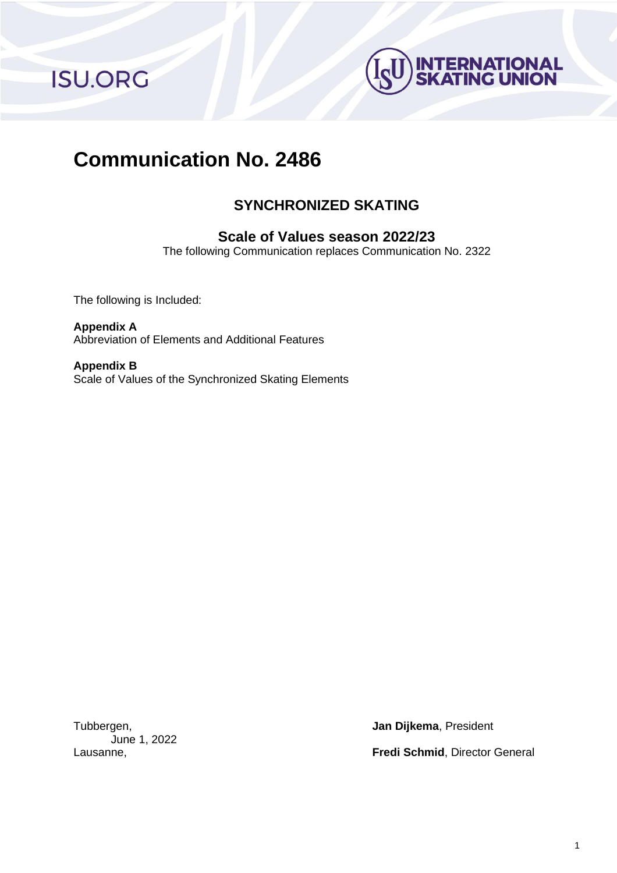**ISU.ORG** 



# **Communication No. 2486**

# **SYNCHRONIZED SKATING**

# **Scale of Values season 2022/23**

The following Communication replaces Communication No. 2322

The following is Included:

**Appendix A** Abbreviation of Elements and Additional Features

**Appendix B** Scale of Values of the Synchronized Skating Elements

June 1, 2022

Tubbergen, **Jan Dijkema**, President

Lausanne, **Fredi Schmid**, Director General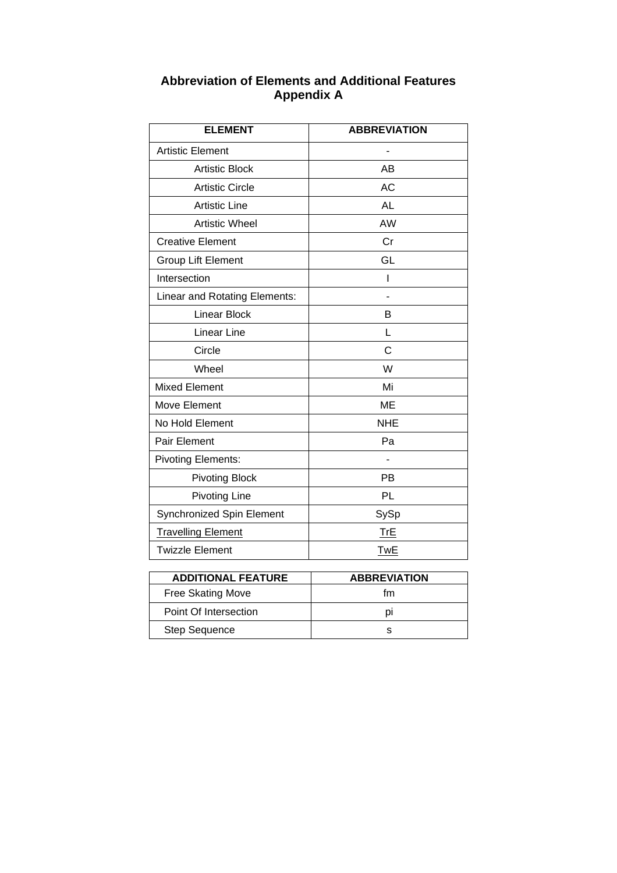| <b>Abbreviation of Elements and Additional Features</b> |
|---------------------------------------------------------|
| <b>Appendix A</b>                                       |

| <b>ELEMENT</b>                | <b>ABBREVIATION</b> |
|-------------------------------|---------------------|
| <b>Artistic Element</b>       |                     |
| <b>Artistic Block</b>         | AB                  |
| <b>Artistic Circle</b>        | <b>AC</b>           |
| <b>Artistic Line</b>          | <b>AL</b>           |
| <b>Artistic Wheel</b>         | AW                  |
| <b>Creative Element</b>       | Cr                  |
| Group Lift Element            | GL                  |
| Intersection                  | I                   |
| Linear and Rotating Elements: |                     |
| <b>Linear Block</b>           | B                   |
| Linear Line                   | L                   |
| Circle                        | C                   |
| Wheel                         | W                   |
| <b>Mixed Element</b>          | Mi                  |
| Move Element                  | <b>ME</b>           |
| No Hold Element               | <b>NHE</b>          |
| Pair Element                  | Pa                  |
| <b>Pivoting Elements:</b>     |                     |
| <b>Pivoting Block</b>         | PB                  |
| <b>Pivoting Line</b>          | PL                  |
| Synchronized Spin Element     | SySp                |
| <b>Travelling Element</b>     | TrE                 |
| <b>Twizzle Element</b>        | <b>TwE</b>          |
|                               |                     |
| <b>ADDITIONAL FEATURE</b>     | <b>ABBREVIATION</b> |

| <b>ADDITIONAL FEATURE</b> | <b>ABBREVIATION</b> |
|---------------------------|---------------------|
| <b>Free Skating Move</b>  | tm                  |
| Point Of Intersection     |                     |
| <b>Step Sequence</b>      |                     |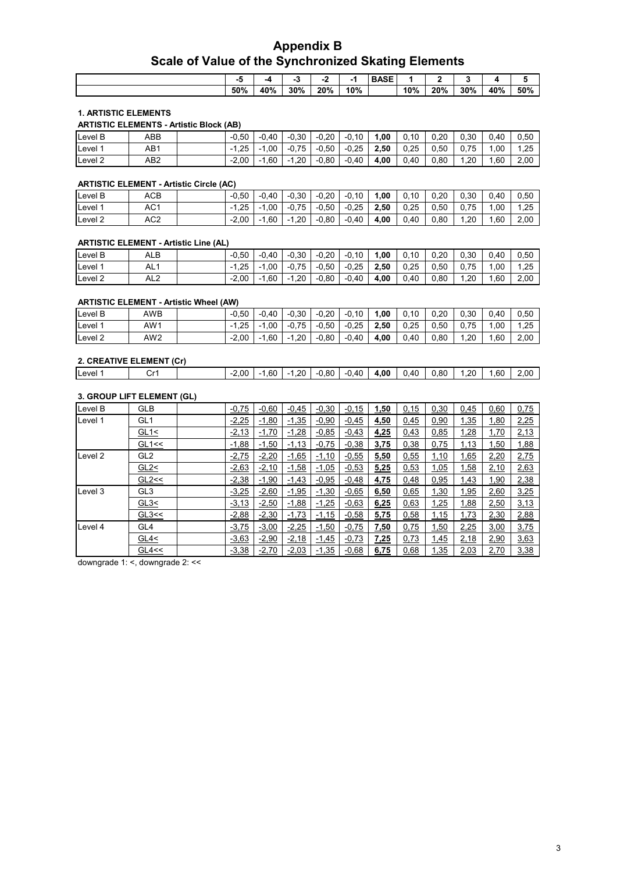# **Appendix B Scale of Value of the Synchronized Skating Elements**

| -   |     |     |     |     | <b>BASE</b> |     |     |     |     |     |
|-----|-----|-----|-----|-----|-------------|-----|-----|-----|-----|-----|
|     |     |     | -   | жu  |             |     |     |     |     |     |
| 50% | 40% | 30% | 20% | 10% |             | 10% | 20% | 30% | 40% | 50% |

#### **1. ARTISTIC ELEMENTS**

|                    |     | <b>ARTISTIC ELEMENTS - Artistic Block (AB)</b> |         |         |         |         |         |      |      |      |      |      |      |
|--------------------|-----|------------------------------------------------|---------|---------|---------|---------|---------|------|------|------|------|------|------|
| Level B            | ABB |                                                | $-0.50$ | $-0.40$ | $-0.30$ | $-0.20$ | $-0.10$ | 1.00 | 0.10 | 0.20 | 0.30 | 0.40 | 0.50 |
| Level <sup>1</sup> | AB1 |                                                | $-1.25$ | $-1.00$ | $-0.75$ | -0.50   | $-0.25$ | 2.50 | 0.25 | 0.50 | .75  | .00  | 1.25 |
| Level <sub>2</sub> | AB2 |                                                | $-2.00$ | $-1.60$ | $-1.20$ | $-0.80$ | $-0.40$ | 4.00 | 0.40 | 0.80 | .20  | .60  | 2,00 |

#### **ARTISTIC ELEMENT - Artistic Circle (AC)**

| Level B | ACB             | $-0.50$ | $-0.40$                          | $-0.30$     | $-0.20$ | $-0.10$ | 00.، | 0.10 | 0.20 | 0.30        | 0.40 | 0.50 |
|---------|-----------------|---------|----------------------------------|-------------|---------|---------|------|------|------|-------------|------|------|
| Level 1 | AC <sub>1</sub> | $-1.25$ | $-1.00$                          | $-0.75$     | $-0.50$ | $-0.25$ | 2.50 | 0.25 | 0.50 | .75<br>0. . | .00  | 1.25 |
| Level 2 | AC <sub>2</sub> | $-2.00$ | 1.60<br>$\overline{\phantom{0}}$ | .20<br>$-1$ | $-0.80$ | $-0.40$ | 4.00 | 0.40 | 0.80 | .20         | .60  | 2.00 |

#### **ARTISTIC ELEMENT - Artistic Line (AL)**

| Level B            | ALB             | $-0.50$     | $-0.40$     | $-0.30$    | $-0.20$ | $-0.10$ | .00  | 0.10 | 0.20 | 0.30 | 0.40 | 0.50 |
|--------------------|-----------------|-------------|-------------|------------|---------|---------|------|------|------|------|------|------|
| Level              | AL1             | . 25<br>- 1 | . .00       | $-0.75$    | $-0.50$ | $-0.25$ | 2.50 | 0.25 | 0.50 | 0.75 | .00  | 1.25 |
| Level <sub>2</sub> | AL <sub>2</sub> | $-2.00$     | 1.60<br>- 1 | .20<br>- 1 | $-0.80$ | $-0.40$ | 4.00 | 0.40 | 0.80 | .20  | .60  | 2.00 |

#### **ARTISTIC ELEMENT - Artistic Wheel (AW)**

| Level B            | AWB             | $-0.50$ | $-0.40$        | $-0.30$ | $-0.20$ | $-0.10$ | .00  | 0.10 | 0.20 | 0.30 | 0.40 | 0.50 |
|--------------------|-----------------|---------|----------------|---------|---------|---------|------|------|------|------|------|------|
| Level              | AW1             | $-1.25$ | .00<br>$\sim$  | $-0.75$ | $-0.50$ | $-0.25$ | 2.50 | 0.25 | 0.50 | .75  | .00  | 1.25 |
| Level <sub>2</sub> | AW <sub>2</sub> | $-2.00$ | $-1.60$<br>- 1 | $-1.20$ | $-0.80$ | $-0.40$ | 4.00 | 0.40 | 0.80 | .20  | .60  | 2.00 |

| 2. CREATIVE ELEMENT (Cr) |         |      |     |            |       |         |                      |      |      |     |     |      |
|--------------------------|---------|------|-----|------------|-------|---------|----------------------|------|------|-----|-----|------|
| Level                    | ⌒…<br>◡ | 2.00 | .60 | .20<br>- 1 | -0.80 | $-0.40$ | .00.<br>$\mathbf{A}$ | 0.40 | ა.80 | .20 | .60 | 2.00 |

#### **3. GROUP LIFT ELEMENT (GL)**

| Level B | <b>GLB</b>      | $-0,75$ | $-0.60$ | $-0,45$ | $-0,30$ | $-0,15$ | 1,50 | 0,15 | 0,30 | 0,45 | 0,60        | 0,75 |
|---------|-----------------|---------|---------|---------|---------|---------|------|------|------|------|-------------|------|
| Level 1 | GL <sub>1</sub> | $-2,25$ | $-1,80$ | $-1,35$ | $-0,90$ | $-0,45$ | 4,50 | 0,45 | 0,90 | 1,35 | 1,80        | 2,25 |
|         | GL1<            | $-2,13$ | $-1,70$ | $-1,28$ | $-0,85$ | $-0,43$ | 4,25 | 0,43 | 0.85 | 1,28 | 1,70        | 2,13 |
|         | GL1 <           | $-1,88$ | $-1,50$ | $-1,13$ | $-0,75$ | $-0,38$ | 3,75 | 0,38 | 0,75 | 1,13 | <u>1,50</u> | 1,88 |
| Level 2 | GL <sub>2</sub> | $-2,75$ | $-2,20$ | $-1,65$ | $-1,10$ | $-0,55$ | 5,50 | 0,55 | 1,10 | 1,65 | 2,20        | 2,75 |
|         | GL2             | $-2,63$ | $-2,10$ | $-1,58$ | $-1,05$ | $-0,53$ | 5,25 | 0,53 | 1,05 | 1,58 | 2,10        | 2,63 |
|         | GL2<<           | $-2,38$ | $-1,90$ | $-1,43$ | $-0,95$ | $-0,48$ | 4,75 | 0,48 | 0,95 | 1,43 | 1,90        | 2,38 |
| Level 3 | GL <sub>3</sub> | $-3,25$ | $-2,60$ | $-1,95$ | $-1,30$ | $-0,65$ | 6,50 | 0,65 | 1,30 | 1,95 | 2,60        | 3,25 |
|         | GL3<            | $-3,13$ | $-2,50$ | $-1,88$ | $-1,25$ | $-0,63$ | 6,25 | 0,63 | 1,25 | 1,88 | 2,50        | 3,13 |
|         | GL3<<           | $-2,88$ | $-2,30$ | $-1,73$ | $-1,15$ | $-0,58$ | 5,75 | 0,58 | 1,15 | 1,73 | 2,30        | 2,88 |
| Level 4 | GL4             | $-3,75$ | $-3,00$ | $-2,25$ | $-1,50$ | $-0,75$ | 7,50 | 0.75 | 1,50 | 2,25 | 3,00        | 3,75 |
|         | GL4<            | $-3,63$ | $-2,90$ | $-2,18$ | $-1,45$ | $-0,73$ | 7,25 | 0,73 | 1,45 | 2,18 | 2,90        | 3,63 |
|         | GL4 <           | $-3,38$ | $-2,70$ | $-2,03$ | $-1,35$ | $-0,68$ | 6,75 | 0,68 | 1,35 | 2,03 | 2,70        | 3,38 |

downgrade 1: <, downgrade 2: <<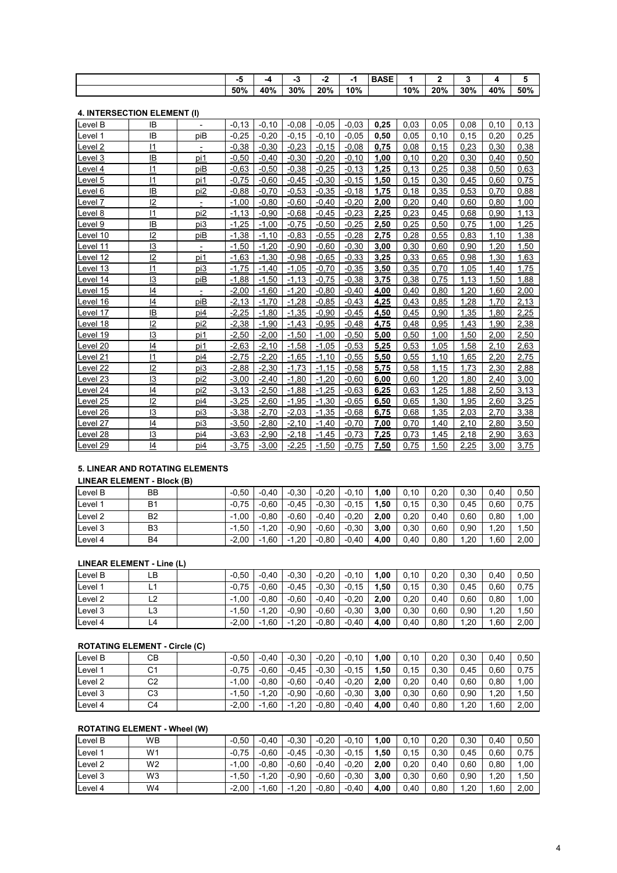| $\overline{\phantom{0}}$ |     |     | $\mathbf{\hat{}}$<br>- -<br>- | жu  | <b>BASE</b> |     |     |     |     |     |
|--------------------------|-----|-----|-------------------------------|-----|-------------|-----|-----|-----|-----|-----|
| 50%                      | 40% | 30% | 20%                           | 10% |             | 10% | 20% | 30% | 40% | 50% |
|                          |     |     |                               |     |             |     |     |     |     |     |

### **4. INTERSECTION ELEMENT (I)**

| ין ויושובו שבט ווטוז בבבואובוזו (ון |                 |                          |          |         |         |         |         |      |      |      |      |      |      |
|-------------------------------------|-----------------|--------------------------|----------|---------|---------|---------|---------|------|------|------|------|------|------|
| Level B                             | IB              |                          | $-0.13$  | $-0.10$ | $-0.08$ | $-0.05$ | $-0.03$ | 0.25 | 0.03 | 0,05 | 0.08 | 0.10 | 0.13 |
| Level 1                             | IB              | piB                      | $-0.25$  | $-0.20$ | $-0.15$ | $-0.10$ | $-0.05$ | 0.50 | 0,05 | 0.10 | 0.15 | 0.20 | 0.25 |
| Level <sub>2</sub>                  | 11              | $\overline{\phantom{a}}$ | $-0.38$  | $-0,30$ | $-0,23$ | $-0.15$ | $-0.08$ | 0,75 | 0.08 | 0,15 | 0,23 | 0,30 | 0,38 |
| Level 3                             | IB              | pi1                      | $-0.50$  | $-0,40$ | $-0,30$ | $-0.20$ | $-0,10$ | 1,00 | 0.10 | 0,20 | 0,30 | 0.40 | 0,50 |
| Level 4                             | 1               | piB                      | $-0.63$  | $-0.50$ | $-0,38$ | $-0.25$ | $-0,13$ | 1,25 | 0,13 | 0,25 | 0,38 | 0,50 | 0,63 |
| evel 5                              | 11              | pi1                      | $-0.75$  | $-0.60$ | $-0.45$ | $-0.30$ | $-0.15$ | 1,50 | 0,15 | 0,30 | 0,45 | 0,60 | 0,75 |
| Level 6                             | IB              | pi <sub>2</sub>          | $-0.88$  | $-0,70$ | $-0,53$ | $-0.35$ | $-0,18$ | 1,75 | 0.18 | 0,35 | 0,53 | 0,70 | 0,88 |
| Level 7                             | $\overline{2}$  | $\overline{\phantom{a}}$ | $-1,00$  | $-0.80$ | $-0,60$ | $-0.40$ | $-0,20$ | 2,00 | 0,20 | 0,40 | 0,60 | 0.80 | 1,00 |
| Level 8                             | $\vert$ 1       | pi2                      | $-1,13$  | $-0.90$ | $-0.68$ | $-0.45$ | $-0,23$ | 2,25 | 0,23 | 0,45 | 0,68 | 0,90 | 1,13 |
| evel 9-                             | IB              | pi3                      | $-1,25$  | $-1,00$ | $-0,75$ | $-0,50$ | $-0.25$ | 2,50 | 0,25 | 0,50 | 0,75 | 1,00 | 1,25 |
| evel 10                             | 12              | piB                      | $-1,38$  | $-1,10$ | $-0.83$ | $-0.55$ | $-0,28$ | 2,75 | 0,28 | 0,55 | 0,83 | 1,10 | 1,38 |
| evel 11-                            | 13              | $\overline{\phantom{a}}$ | $-1,50$  | $-1,20$ | $-0.90$ | $-0.60$ | $-0,30$ | 3,00 | 0,30 | 0,60 | 0,90 | 1,20 | 1,50 |
| evel 12.                            | 12              | pi1                      | $-1,63$  | $-1,30$ | $-0.98$ | $-0.65$ | $-0.33$ | 3,25 | 0,33 | 0,65 | 0,98 | 1,30 | 1,63 |
| <u>evel</u> 13                      | 1               | pi3                      | $-1,75$  | $-1,40$ | $-1,05$ | $-0,70$ | $-0,35$ | 3,50 | 0,35 | 0,70 | 1,05 | 1,40 | 1,75 |
| evel 14                             | $\overline{13}$ | piB                      | $-1,88$  | $-1,50$ | $-1,13$ | $-0.75$ | $-0.38$ | 3,75 | 0,38 | 0,75 | 1,13 | 1,50 | 1,88 |
| evel 15                             | 14              | Ė.                       | $-2,00$  | $-1,60$ | $-1,20$ | $-0.80$ | $-0,40$ | 4,00 | 0,40 | 0,80 | 1,20 | 1,60 | 2,00 |
| evel 16.                            | 14              | piB                      | $-2,13$  | $-1,70$ | $-1,28$ | $-0.85$ | $-0.43$ | 4,25 | 0,43 | 0,85 | 1,28 | 1,70 | 2,13 |
| evel 17                             | IB              | pi4                      | $-2,25$  | $-1,80$ | $-1,35$ | $-0.90$ | $-0.45$ | 4,50 | 0,45 | 0,90 | 1,35 | 1,80 | 2,25 |
| evel 18.                            | $\overline{2}$  | pi2                      | $-2,38$  | $-1,90$ | $-1,43$ | $-0.95$ | $-0,48$ | 4,75 | 0,48 | 0,95 | 1,43 | 1,90 | 2,38 |
| Level 19                            | 13              | pi1                      | $-2,50$  | $-2,00$ | $-1,50$ | $-1.00$ | $-0.50$ | 5,00 | 0.50 | 1.00 | 1,50 | 2,00 | 2,50 |
| evel 20                             | 4               | pi1                      | $-2,63$  | $-2,10$ | $-1.58$ | $-1.05$ | $-0.53$ | 5,25 | 0.53 | 1.05 | 1.58 | 2.10 | 2,63 |
| evel 21.                            | 11              | pi4                      | $-2,75$  | $-2,20$ | $-1,65$ | $-1.10$ | $-0,55$ | 5,50 | 0,55 | 1,10 | 1,65 | 2,20 | 2,75 |
| evel 22.                            | 12              | pi3                      | $-2,88$  | $-2,30$ | $-1,73$ | $-1,15$ | $-0.58$ | 5,75 | 0,58 | 1,15 | 1,73 | 2,30 | 2,88 |
| evel 23.                            | 13              | pi2                      | $-3,00$  | $-2,40$ | $-1,80$ | $-1,20$ | $-0.60$ | 6,00 | 0,60 | 1,20 | 1,80 | 2,40 | 3,00 |
| evel 24                             | 14              | pi2                      | $-3, 13$ | $-2,50$ | $-1,88$ | $-1,25$ | $-0,63$ | 6,25 | 0,63 | 1,25 | 1,88 | 2,50 | 3,13 |
| evel 25                             | 12              | pi4                      | $-3,25$  | $-2,60$ | $-1,95$ | $-1,30$ | $-0.65$ | 6,50 | 0,65 | 1,30 | 1,95 | 2,60 | 3,25 |
| evel 26.                            | 13              | pi3                      | $-3,38$  | $-2,70$ | $-2,03$ | $-1,35$ | $-0,68$ | 6,75 | 0,68 | 1,35 | 2,03 | 2,70 | 3,38 |
| evel 27.                            | $\overline{4}$  | pi3                      | $-3,50$  | $-2,80$ | $-2,10$ | $-1.40$ | $-0,70$ | 7,00 | 0.70 | 1.40 | 2,10 | 2,80 | 3,50 |
| evel 28.                            | 13              | pi4                      | $-3,63$  | $-2,90$ | $-2.18$ | $-1.45$ | $-0.73$ | 7,25 | 0.73 | 1.45 | 2.18 | 2,90 | 3,63 |
| Level 29                            | 14              | pi4                      | $-3,75$  | $-3,00$ | $-2,25$ | $-1,50$ | $-0,75$ | 7,50 | 0,75 | 1,50 | 2,25 | 3,00 | 3,75 |

#### **5. LINEAR AND ROTATING ELEMENTS**

#### **LINEAR ELEMENT - Block (B)**

| ∟evel B | BB             | $-0.50$ | $-0.40$        | $-0.30$   | $-0.20$ | -0.10   | 1.00 | 0.10 | 0.20 | 0.30 | 0.40 | 0.50  |
|---------|----------------|---------|----------------|-----------|---------|---------|------|------|------|------|------|-------|
| Level 1 | <b>B1</b>      | $-0.75$ | $-0.60$        | $-0.45$   | $-0.30$ | $-0.15$ | .50  | 0.15 | 0.30 | 0.45 | .60  | 0.75  |
| Level 2 | B <sub>2</sub> | $-1.00$ | $-0.80$        | $-0.60$   | $-0.40$ | $-0.20$ | 2.00 | 0.20 | 0.40 | 0.60 | 0.80 | 1.00  |
| Level 3 | B <sub>3</sub> | $-1.50$ | $-1.20$<br>- 1 | $-0.90$   | $-0.60$ | $-0.30$ | 3.00 | 0.30 | 0.60 | 0.90 | .20  | 50, ا |
| Level 4 | <b>B4</b>      | $-2.00$ | 1.60<br>- 1    | .20<br>н. | $-0.80$ | $-0.40$ | 4.00 | 0.40 | 0.80 | .20  | .60  | 2.00  |

#### **LINEAR ELEMENT - Line (L)**

| Level B            | LB | $-0.50$ | $-0.40$        | $-0.30$      | $-0.20$ | $-0.10$ | 00.،  | 0.10 | 0.20 | 0.30 | 0.40 | 0.50 |
|--------------------|----|---------|----------------|--------------|---------|---------|-------|------|------|------|------|------|
| Level 1            | L1 | $-0.75$ | $-0.60$        | $-0.45$      | $-0.30$ | $-0.15$ | . ,50 | 0.15 | 0.30 | 0.45 | 0.60 | 0.75 |
| Level <sub>2</sub> | L2 | $-1.00$ | $-0.80$        | $-0.60$      | $-0.40$ | $-0.20$ | 2.00  | 0.20 | 0.40 | 0.60 | 0.80 | 1.00 |
| Level 3            | L3 | $-1.50$ | $-1.20$        | $-0.90$      | $-0.60$ | $-0.30$ | 3.00  | 0.30 | 0.60 | 0.90 | .20  | 1,50 |
| Level 4            | L4 | $-2.00$ | $-1.60$<br>- 1 | . 20<br>$-1$ | $-0.80$ | $-0,40$ | 4.00  | 0,40 | 0.80 | .20  | .60  | 2,00 |

#### **ROTATING ELEMENT - Circle (C)**

| Level B               | CВ | $-0.50$     | $-0.40$   | $-0.30$   | $-0.20$ | $-0.10$ | 1,00 | 0.10 | 0.20 | 0.30 | 0.40 | 0,50 |
|-----------------------|----|-------------|-----------|-----------|---------|---------|------|------|------|------|------|------|
| $L$ evel <sup>1</sup> | C1 | $-0.75$     | $-0.60$   | $-0.45$   | $-0.30$ | $-0.15$ | .,50 | 0.15 | 0,30 | 0.45 | 0.60 | 0,75 |
| Level 2               | C2 | .00<br>$-1$ | $-0.80$   | $-0.60$   | $-0.40$ | $-0,20$ | 2,00 | 0.20 | 0.40 | 0.60 | 0.80 | 1,00 |
| Level 3               | C3 | $-1.50$     | $-1.20$   | $-0.90$   | $-0.60$ | $-0.30$ | 3,00 | 0.30 | 0.60 | 0.90 | .20  | 1,50 |
| Level 4               | C4 | $-2.00$     | .60<br>нu | .20<br>нU | $-0.80$ | $-0.40$ | 4.00 | 0.40 | 0.80 | ,20  | .60  | 2,00 |

### **ROTATING ELEMENT - Wheel (W)**

| Level B | WВ             | $-0.50$ | $-0.40$ | $-0.30$   | $-0.20$ | $-0,10$ | 00.، | 0.10 | 0.20 | 0.30 | 0.40 | 0.50 |
|---------|----------------|---------|---------|-----------|---------|---------|------|------|------|------|------|------|
| Level 1 | W1             | $-0.75$ | $-0.60$ | $-0.45$   | $-0.30$ | $-0.15$ | 50.، | 0.15 | 0.30 | 0.45 | 0.60 | 0.75 |
| Level 2 | W <sub>2</sub> | $-1.00$ | $-0.80$ | $-0.60$   | $-0.40$ | $-0.20$ | 2.00 | 0.20 | 0.40 | 0.60 | 0.80 | 1.00 |
| Level 3 | W3             | $-1.50$ | $-1.20$ | $-0.90$   | $-0.60$ | $-0.30$ | 3.00 | 0.30 | 0.60 | 0.90 | .20  | 1.50 |
| Level 4 | W4             | $-2.00$ | $-1.60$ | .20<br>-1 | $-0.80$ | $-0,40$ | 4,00 | 0.40 | 0.80 | .20  | .60  | 2,00 |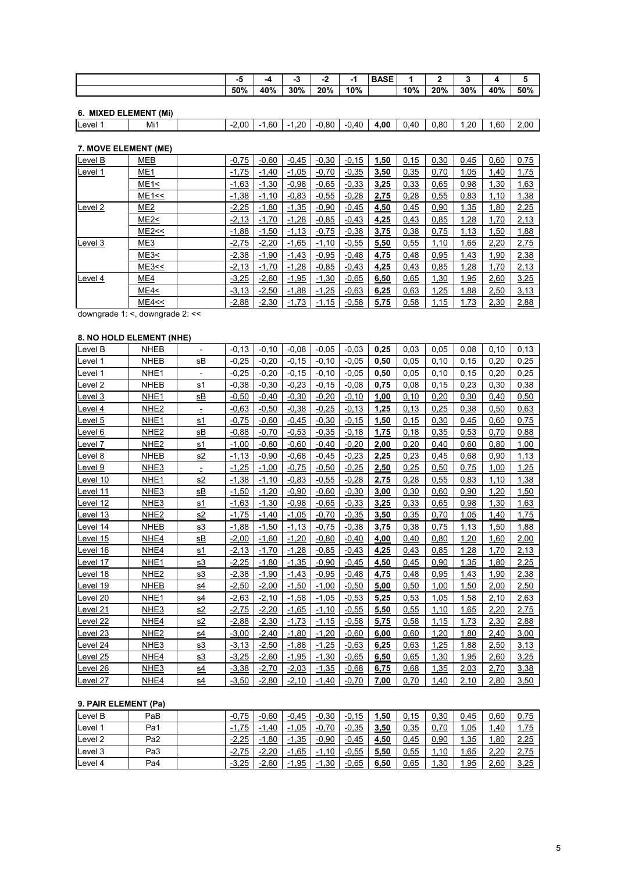|     | --  | - 3 | .,<br>- | жu  | <b>BASE</b> |     | . . |     |     |     |
|-----|-----|-----|---------|-----|-------------|-----|-----|-----|-----|-----|
| 50% | 40% | 30% | 20%     | 10% |             | 10% | 20% | 30% | 40% | 50% |

# **6. MIXED ELEMENT (Mi)**

| Level | $\cdots$<br>Mı1<br> | 2.00<br>$\overline{\phantom{a}}$ | .60 | .20<br>$\overline{\phantom{0}}$ | 0.80 | $\mathbf{1}$ $\mathbf{A}$<br>$\sim$<br>u. | $\sim$ $\sim$<br>OP<br>л | 0.40 | $\circ$<br>u.ou | .20<br>$\overline{ }$ | .60 | 2.00 |
|-------|---------------------|----------------------------------|-----|---------------------------------|------|-------------------------------------------|--------------------------|------|-----------------|-----------------------|-----|------|
|       |                     |                                  |     |                                 |      |                                           |                          |      |                 |                       |     |      |

#### **7. MOVE ELEMENT (ME)**

| Level B | <b>MEB</b>      | $-0,75$ | $-0,60$ | $-0,45$ | $-0,30$ | $-0.15$ | 1,50 | 0,15 | 0,30 | 0,45 | 0,60 | 0,75 |
|---------|-----------------|---------|---------|---------|---------|---------|------|------|------|------|------|------|
| Level 1 | ME <sub>1</sub> | $-1,75$ | $-1,40$ | $-1,05$ | $-0,70$ | $-0,35$ | 3,50 | 0,35 | 0,70 | 1,05 | 1,40 | 1,75 |
|         | ME1<            | $-1,63$ | $-1,30$ | $-0,98$ | $-0,65$ | $-0,33$ | 3,25 | 0,33 | 0,65 | 0,98 | 1,30 | 1,63 |
|         | ME1 <           | $-1,38$ | $-1,10$ | $-0,83$ | $-0.55$ | $-0,28$ | 2,75 | 0,28 | 0,55 | 0,83 | 1,10 | 1,38 |
| Level 2 | ME <sub>2</sub> | $-2,25$ | $-1,80$ | $-1,35$ | $-0,90$ | $-0,45$ | 4,50 | 0,45 | 0,90 | 1,35 | 1,80 | 2,25 |
|         | ME2<            | $-2,13$ | $-1,70$ | $-1,28$ | $-0,85$ | $-0,43$ | 4,25 | 0,43 | 0,85 | 1,28 | 1,70 | 2,13 |
|         | ME2 <           | $-1,88$ | $-1,50$ | $-1,13$ | $-0,75$ | $-0,38$ | 3,75 | 0,38 | 0,75 | 1,13 | 1,50 | 1,88 |
| Level 3 | ME3             | $-2,75$ | $-2,20$ | $-1,65$ | $-1,10$ | $-0,55$ | 5,50 | 0,55 | 1,10 | 1,65 | 2,20 | 2,75 |
|         | ME3<            | $-2,38$ | $-1,90$ | $-1,43$ | $-0,95$ | $-0,48$ | 4,75 | 0,48 | 0,95 | 1,43 | 1,90 | 2,38 |
|         | ME3 <           | $-2,13$ | $-1,70$ | $-1,28$ | $-0,85$ | $-0,43$ | 4,25 | 0,43 | 0,85 | 1,28 | 1,70 | 2,13 |
| Level 4 | ME4             | $-3,25$ | $-2,60$ | $-1,95$ | $-1,30$ | $-0,65$ | 6,50 | 0,65 | 1,30 | 1,95 | 2,60 | 3,25 |
|         | ME4<            | $-3,13$ | $-2,50$ | $-1,88$ | $-1,25$ | $-0,63$ | 6,25 | 0,63 | 1,25 | 1,88 | 2,50 | 3,13 |
|         | ME4 <           | $-2,88$ | $-2,30$ | $-1,73$ | $-1,15$ | $-0,58$ | 5,75 | 0,58 | 1,15 | 1,73 | 2,30 | 2,88 |

downgrade 1: <, downgrade 2: <<

# **8. NO HOLD ELEMENT (NHE)**

| Level B            | <b>NHEB</b>      |                          | $-0,13$ | $-0,10$ | $-0.08$ | $-0.05$ | $-0.03$ | 0,25 | 0,03 | 0,05 | 0,08 | 0, 10 | 0,13 |
|--------------------|------------------|--------------------------|---------|---------|---------|---------|---------|------|------|------|------|-------|------|
| Level 1            | <b>NHEB</b>      | sB                       | $-0,25$ | $-0,20$ | $-0,15$ | $-0,10$ | $-0.05$ | 0,50 | 0,05 | 0,10 | 0,15 | 0,20  | 0,25 |
| Level 1            | NHE <sub>1</sub> |                          | $-0,25$ | $-0,20$ | $-0.15$ | $-0,10$ | $-0.05$ | 0,50 | 0,05 | 0,10 | 0,15 | 0,20  | 0,25 |
| Level 2            | <b>NHEB</b>      | s1                       | $-0.38$ | $-0,30$ | $-0,23$ | $-0,15$ | $-0.08$ | 0,75 | 0,08 | 0,15 | 0,23 | 0.30  | 0,38 |
| Level 3            | NHE1             | <u>sB</u>                | $-0,50$ | $-0,40$ | $-0,30$ | $-0,20$ | $-0,10$ | 1,00 | 0,10 | 0,20 | 0,30 | 0,40  | 0,50 |
| Level <sub>4</sub> | NHE <sub>2</sub> | $\overline{\phantom{a}}$ | $-0.63$ | $-0.50$ | $-0.38$ | $-0.25$ | $-0,13$ | 1,25 | 0,13 | 0,25 | 0,38 | 0,50  | 0,63 |
| Level 5            | NHE <sub>1</sub> | s1                       | $-0,75$ | $-0.60$ | $-0.45$ | $-0,30$ | $-0,15$ | 1,50 | 0,15 | 0,30 | 0,45 | 0,60  | 0,75 |
| Level 6            | NHE <sub>2</sub> | <u>sB</u>                | $-0,88$ | $-0,70$ | $-0.53$ | $-0.35$ | $-0,18$ | 1,75 | 0,18 | 0,35 | 0,53 | 0.70  | 0,88 |
| Level 7            | NHE <sub>2</sub> | <u>s1</u>                | $-1,00$ | $-0.80$ | $-0.60$ | $-0,40$ | $-0,20$ | 2,00 | 0,20 | 0,40 | 0,60 | 0,80  | 1,00 |
| Level <sub>8</sub> | NHEB             | $\underline{\mathbf{s}}$ | $-1,13$ | $-0.90$ | $-0.68$ | $-0,45$ | $-0,23$ | 2,25 | 0,23 | 0,45 | 0,68 | 0,90  | 1,13 |
| Level 9            | NHE3             | $\equiv$                 | $-1,25$ | $-1,00$ | $-0.75$ | $-0.50$ | $-0,25$ | 2,50 | 0,25 | 0,50 | 0,75 | 1.00  | 1,25 |
| Level 10           | NHE <sub>1</sub> | s2                       | $-1,38$ | $-1,10$ | $-0.83$ | $-0.55$ | $-0,28$ | 2,75 | 0,28 | 0,55 | 0,83 | 1,10  | 1,38 |
| Level 11           | NHE3             | sB                       | $-1,50$ | $-1,20$ | $-0.90$ | $-0.60$ | $-0,30$ | 3,00 | 0,30 | 0,60 | 0,90 | 1,20  | 1,50 |
| Level 12           | NHE3             | s1                       | $-1,63$ | $-1,30$ | $-0.98$ | $-0.65$ | $-0,33$ | 3,25 | 0,33 | 0,65 | 0,98 | 1,30  | 1,63 |
| Level 13           | NHE <sub>2</sub> | s2                       | $-1,75$ | $-1,40$ | $-1,05$ | $-0,70$ | $-0,35$ | 3,50 | 0,35 | 0,70 | 1,05 | 1,40  | 1,75 |
| Level 14           | NHEB             | s3                       | $-1,88$ | $-1,50$ | $-1,13$ | $-0.75$ | $-0,38$ | 3,75 | 0,38 | 0,75 | 1,13 | 1,50  | 1,88 |
| Level 15           | NHE4             | <u>sB</u>                | $-2,00$ | $-1,60$ | $-1,20$ | $-0.80$ | $-0,40$ | 4,00 | 0,40 | 0,80 | 1,20 | 1,60  | 2,00 |
| Level 16           | NHE4             | s1                       | $-2,13$ | $-1,70$ | $-1,28$ | $-0.85$ | $-0,43$ | 4,25 | 0,43 | 0,85 | 1,28 | 1,70  | 2,13 |
| Level 17           | NHE <sub>1</sub> | s3                       | $-2,25$ | $-1,80$ | $-1,35$ | $-0.90$ | $-0.45$ | 4,50 | 0,45 | 0,90 | 1,35 | 1,80  | 2,25 |
| Level 18           | NHE <sub>2</sub> | s3                       | $-2,38$ | $-1,90$ | $-1,43$ | $-0.95$ | $-0,48$ | 4,75 | 0,48 | 0,95 | 1,43 | 1,90  | 2,38 |
| Level 19           | NHEB             | s4                       | $-2,50$ | $-2,00$ | $-1,50$ | $-1,00$ | $-0.50$ | 5,00 | 0,50 | 1,00 | 1,50 | 2,00  | 2,50 |
| Level 20           | NHE <sub>1</sub> | <u>s4</u>                | $-2,63$ | $-2,10$ | $-1.58$ | $-1,05$ | $-0,53$ | 5,25 | 0,53 | 1,05 | 1,58 | 2,10  | 2,63 |
| evel 21-           | NHE3             | s2                       | $-2,75$ | $-2,20$ | $-1,65$ | $-1,10$ | $-0.55$ | 5,50 | 0,55 | 1,10 | 1,65 | 2,20  | 2,75 |
| Level 22           | NHE4             | <u>s2</u>                | $-2,88$ | $-2,30$ | $-1,73$ | $-1,15$ | $-0,58$ | 5,75 | 0,58 | 1,15 | 1,73 | 2,30  | 2,88 |
| Level 23           | NHE <sub>2</sub> | s4                       | $-3,00$ | $-2,40$ | $-1,80$ | $-1,20$ | $-0.60$ | 6,00 | 0,60 | 1,20 | 1,80 | 2,40  | 3,00 |
| Level 24           | NHE3             | <u>s3</u>                | $-3,13$ | $-2,50$ | $-1,88$ | $-1,25$ | $-0.63$ | 6,25 | 0,63 | 1,25 | 1,88 | 2,50  | 3,13 |
| Level 25           | NHE4             | s3                       | $-3,25$ | $-2,60$ | $-1,95$ | $-1,30$ | $-0.65$ | 6,50 | 0,65 | 1,30 | 1,95 | 2,60  | 3,25 |
| Level 26           | NHE3             | s4                       | $-3,38$ | $-2,70$ | $-2,03$ | $-1,35$ | $-0.68$ | 6,75 | 0,68 | 1,35 | 2,03 | 2,70  | 3,38 |
| Level 27           | NHE4             | s4                       | $-3,50$ | $-2,80$ | $-2,10$ | $-1,40$ | $-0,70$ | 7,00 | 0,70 | 1,40 | 2,10 | 2,80  | 3,50 |

#### **9. PAIR ELEMENT (Pa)**

| Level B | PaB             | 75<br>$-0,$ | $-0.60$ | $-0.45$      | $-0,30$      | $-0.15$ | . . 50 | 0,15 | 0,30 | 0.45 | 0,60 | 0,75 |
|---------|-----------------|-------------|---------|--------------|--------------|---------|--------|------|------|------|------|------|
| Level   | Pa1             | 75<br>- 1   | . 40. ، | 05، ا<br>- 1 | $-0,70$      | $-0.35$ | 3,50   | 0,35 | 0,70 | ,05  | 1,40 | 1,75 |
| Level 2 | Pa <sub>2</sub> | $-2,25$     | .1,80   | 1,35<br>$-1$ | $-0,90$      | $-0.45$ | 4,50   | 0,45 | 0,90 | .,35 | .,80 | 2,25 |
| Level 3 | Pa3             | $-2.75$     | $-2,20$ | .65<br>- 1   | 1,10<br>$-1$ | $-0,55$ | 5,50   | 0,55 | 1,10 | ,65  | 2,20 | 2,75 |
| Level 4 | Pa4             | $-3,25$     | $-2,60$ | 1,95<br>- 1  | 1,30<br>$-1$ | $-0.65$ | 6,50   | 0,65 | 1,30 | .95  | 2,60 | 3,25 |